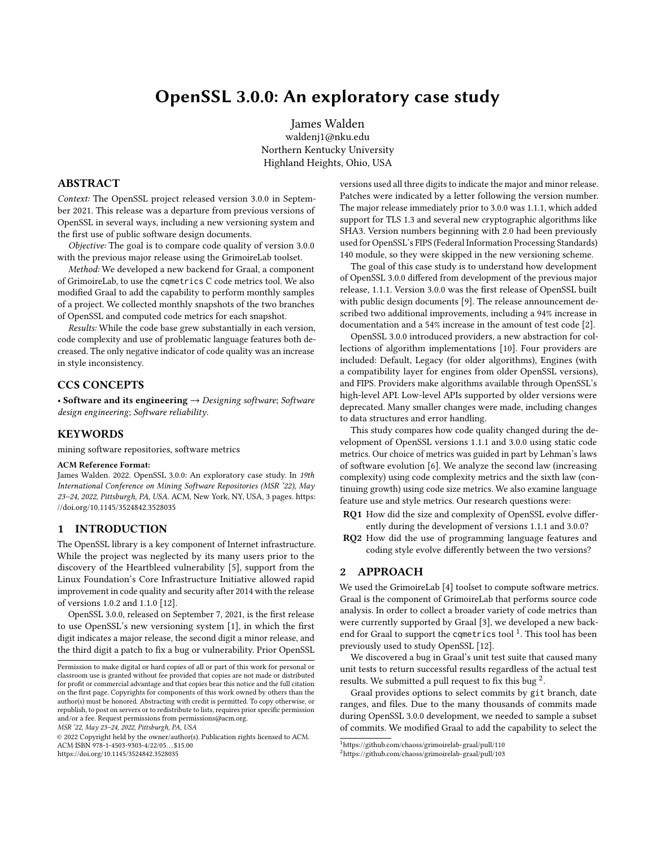# OpenSSL 3.0.0: An exploratory case study

James Walden waldenj1@nku.edu Northern Kentucky University Highland Heights, Ohio, USA

## ABSTRACT

Context: The OpenSSL project released version 3.0.0 in September 2021. This release was a departure from previous versions of OpenSSL in several ways, including a new versioning system and the first use of public software design documents.

Objective: The goal is to compare code quality of version 3.0.0 with the previous major release using the GrimoireLab toolset.

Method: We developed a new backend for Graal, a component of GrimoireLab, to use the cqmetrics C code metrics tool. We also modified Graal to add the capability to perform monthly samples of a project. We collected monthly snapshots of the two branches of OpenSSL and computed code metrics for each snapshot.

Results: While the code base grew substantially in each version, code complexity and use of problematic language features both decreased. The only negative indicator of code quality was an increase in style inconsistency.

## CCS CONCEPTS

• Software and its engineering  $\rightarrow$  Designing software; Software design engineering; Software reliability.

#### KEYWORDS

mining software repositories, software metrics

#### ACM Reference Format:

James Walden. 2022. OpenSSL 3.0.0: An exploratory case study. In 19th International Conference on Mining Software Repositories (MSR '22), May 23–24, 2022, Pittsburgh, PA, USA. ACM, New York, NY, USA, [3](#page-2-0) pages. [https:](https://doi.org/10.1145/3524842.3528035) [//doi.org/10.1145/3524842.3528035](https://doi.org/10.1145/3524842.3528035)

## 1 INTRODUCTION

The OpenSSL library is a key component of Internet infrastructure. While the project was neglected by its many users prior to the discovery of the Heartbleed vulnerability [\[5\]](#page-2-1), support from the Linux Foundation's Core Infrastructure Initiative allowed rapid improvement in code quality and security after 2014 with the release of versions 1.0.2 and 1.1.0 [\[12\]](#page-2-2).

OpenSSL 3.0.0, released on September 7, 2021, is the first release to use OpenSSL's new versioning system [\[1\]](#page-2-3), in which the first digit indicates a major release, the second digit a minor release, and the third digit a patch to fix a bug or vulnerability. Prior OpenSSL

MSR '22, May 23–24, 2022, Pittsburgh, PA, USA

© 2022 Copyright held by the owner/author(s). Publication rights licensed to ACM. ACM ISBN 978-1-4503-9303-4/22/05. . . \$15.00 <https://doi.org/10.1145/3524842.3528035>

versions used all three digits to indicate the major and minor release. Patches were indicated by a letter following the version number. The major release immediately prior to 3.0.0 was 1.1.1, which added support for TLS 1.3 and several new cryptographic algorithms like SHA3. Version numbers beginning with 2.0 had been previously used for OpenSSL's FIPS (Federal Information Processing Standards) 140 module, so they were skipped in the new versioning scheme.

The goal of this case study is to understand how development of OpenSSL 3.0.0 differed from development of the previous major release, 1.1.1. Version 3.0.0 was the first release of OpenSSL built with public design documents [\[9\]](#page-2-4). The release announcement described two additional improvements, including a 94% increase in documentation and a 54% increase in the amount of test code [\[2\]](#page-2-5).

OpenSSL 3.0.0 introduced providers, a new abstraction for collections of algorithm implementations [\[10\]](#page-2-6). Four providers are included: Default, Legacy (for older algorithms), Engines (with a compatibility layer for engines from older OpenSSL versions), and FIPS. Providers make algorithms available through OpenSSL's high-level API. Low-level APIs supported by older versions were deprecated. Many smaller changes were made, including changes to data structures and error handling.

This study compares how code quality changed during the development of OpenSSL versions 1.1.1 and 3.0.0 using static code metrics. Our choice of metrics was guided in part by Lehman's laws of software evolution [\[6\]](#page-2-7). We analyze the second law (increasing complexity) using code complexity metrics and the sixth law (continuing growth) using code size metrics. We also examine language feature use and style metrics. Our research questions were:

- RQ1 How did the size and complexity of OpenSSL evolve differently during the development of versions 1.1.1 and 3.0.0?
- RQ2 How did the use of programming language features and coding style evolve differently between the two versions?

## 2 APPROACH

We used the GrimoireLab [\[4\]](#page-2-8) toolset to compute software metrics. Graal is the component of GrimoireLab that performs source code analysis. In order to collect a broader variety of code metrics than were currently supported by Graal [\[3\]](#page-2-9), we developed a new back-end for Graal to support the cqmetrics tool<sup>[1](#page-0-0)</sup>. This tool has been previously used to study OpenSSL [\[12\]](#page-2-2).

We discovered a bug in Graal's unit test suite that caused many unit tests to return successful results regardless of the actual test results. We submitted a pull request to fix this bug  $^2$  $^2$ .

Graal provides options to select commits by git branch, date ranges, and files. Due to the many thousands of commits made during OpenSSL 3.0.0 development, we needed to sample a subset of commits. We modified Graal to add the capability to select the

Permission to make digital or hard copies of all or part of this work for personal or classroom use is granted without fee provided that copies are not made or distributed for profit or commercial advantage and that copies bear this notice and the full citation on the first page. Copyrights for components of this work owned by others than the author(s) must be honored. Abstracting with credit is permitted. To copy otherwise, or republish, to post on servers or to redistribute to lists, requires prior specific permission and/or a fee. Request permissions from permissions@acm.org.

<span id="page-0-0"></span> $^1$ <https://github.com/chaoss/grimoirelab-graal/pull/110>

<span id="page-0-1"></span><sup>2</sup><https://github.com/chaoss/grimoirelab-graal/pull/103>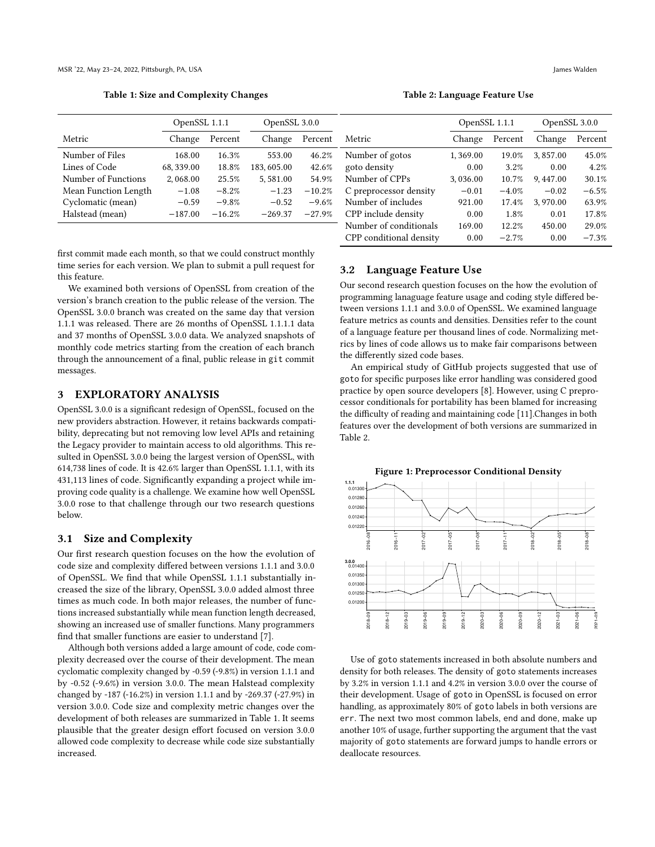Table 1: Size and Complexity Changes

<span id="page-1-0"></span>

|                      | OpenSSL 1.1.1 |          | OpenSSL 3.0.0 |          |
|----------------------|---------------|----------|---------------|----------|
| Metric               | Change        | Percent  | Change        | Percent  |
| Number of Files      | 168.00        | 16.3%    | 553.00        | 46.2%    |
| Lines of Code        | 68, 339.00    | 18.8%    | 183, 605.00   | 42.6%    |
| Number of Functions  | 2,068.00      | 25.5%    | 5,581.00      | 54.9%    |
| Mean Function Length | $-1.08$       | $-8.2%$  | $-1.23$       | $-10.2%$ |
| Cyclomatic (mean)    | $-0.59$       | $-9.8%$  | $-0.52$       | $-9.6%$  |
| Halstead (mean)      | $-187.00$     | $-16.2%$ | $-269.37$     | $-27.9%$ |

first commit made each month, so that we could construct monthly time series for each version. We plan to submit a pull request for this feature.

We examined both versions of OpenSSL from creation of the version's branch creation to the public release of the version. The OpenSSL 3.0.0 branch was created on the same day that version 1.1.1 was released. There are 26 months of OpenSSL 1.1.1.1 data and 37 months of OpenSSL 3.0.0 data. We analyzed snapshots of monthly code metrics starting from the creation of each branch through the announcement of a final, public release in git commit messages.

## 3 EXPLORATORY ANALYSIS

OpenSSL 3.0.0 is a significant redesign of OpenSSL, focused on the new providers abstraction. However, it retains backwards compatibility, deprecating but not removing low level APIs and retaining the Legacy provider to maintain access to old algorithms. This resulted in OpenSSL 3.0.0 being the largest version of OpenSSL, with 614,738 lines of code. It is 42.6% larger than OpenSSL 1.1.1, with its 431,113 lines of code. Significantly expanding a project while improving code quality is a challenge. We examine how well OpenSSL 3.0.0 rose to that challenge through our two research questions below.

#### 3.1 Size and Complexity

Our first research question focuses on the how the evolution of code size and complexity differed between versions 1.1.1 and 3.0.0 of OpenSSL. We find that while OpenSSL 1.1.1 substantially increased the size of the library, OpenSSL 3.0.0 added almost three times as much code. In both major releases, the number of functions increased substantially while mean function length decreased, showing an increased use of smaller functions. Many programmers find that smaller functions are easier to understand [\[7\]](#page-2-10).

Although both versions added a large amount of code, code complexity decreased over the course of their development. The mean cyclomatic complexity changed by -0.59 (-9.8%) in version 1.1.1 and by -0.52 (-9.6%) in version 3.0.0. The mean Halstead complexity changed by -187 (-16.2%) in version 1.1.1 and by -269.37 (-27.9%) in version 3.0.0. Code size and complexity metric changes over the development of both releases are summarized in Table [1.](#page-1-0) It seems plausible that the greater design effort focused on version 3.0.0 allowed code complexity to decrease while code size substantially increased.

Table 2: Language Feature Use

<span id="page-1-1"></span>

|                         | OpenSSL 1.1.1 |         | OpenSSL 3.0.0 |         |
|-------------------------|---------------|---------|---------------|---------|
| Metric                  | Change        | Percent | Change        | Percent |
| Number of gotos         | 1,369.00      | 19.0%   | 3.857.00      | 45.0%   |
| goto density            | 0.00          | 3.2%    | 0.00          | 4.2%    |
| Number of CPPs          | 3,036.00      | 10.7%   | 9,447.00      | 30.1%   |
| C preprocessor density  | $-0.01$       | $-4.0%$ | $-0.02$       | $-6.5%$ |
| Number of includes      | 921.00        | 17.4%   | 3,970.00      | 63.9%   |
| CPP include density     | 0.00          | 1.8%    | 0.01          | 17.8%   |
| Number of conditionals  | 169.00        | 12.2%   | 450.00        | 29.0%   |
| CPP conditional density | 0.00          | $-2.7%$ | 0.00          | $-7.3%$ |

### 3.2 Language Feature Use

Our second research question focuses on the how the evolution of programming lanaguage feature usage and coding style differed between versions 1.1.1 and 3.0.0 of OpenSSL. We examined language feature metrics as counts and densities. Densities refer to the count of a language feature per thousand lines of code. Normalizing metrics by lines of code allows us to make fair comparisons between the differently sized code bases.

An empirical study of GitHub projects suggested that use of goto for specific purposes like error handling was considered good practice by open source developers [\[8\]](#page-2-11). However, using C preprocessor conditionals for portability has been blamed for increasing the difficulty of reading and maintaining code [\[11\]](#page-2-12).Changes in both features over the development of both versions are summarized in Table [2.](#page-1-1)

<span id="page-1-2"></span>

Use of goto statements increased in both absolute numbers and density for both releases. The density of goto statements increases by 3.2% in version 1.1.1 and 4.2% in version 3.0.0 over the course of their development. Usage of goto in OpenSSL is focused on error handling, as approximately 80% of goto labels in both versions are err. The next two most common labels, end and done, make up another 10% of usage, further supporting the argument that the vast majority of goto statements are forward jumps to handle errors or deallocate resources.